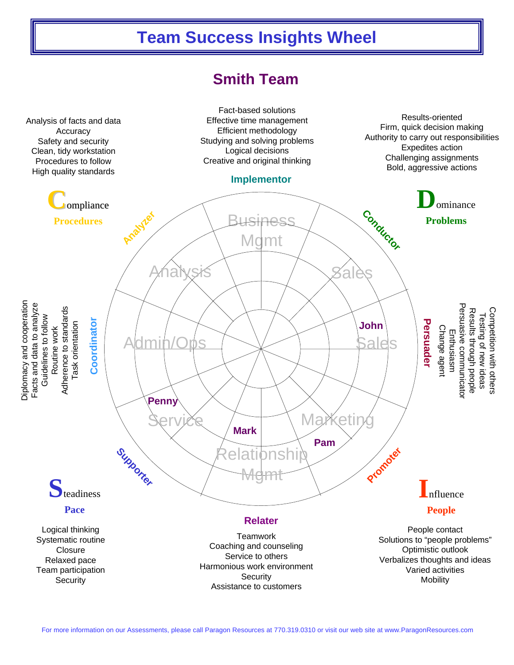## **Team Success Insights Wheel**

## **Smith Team**